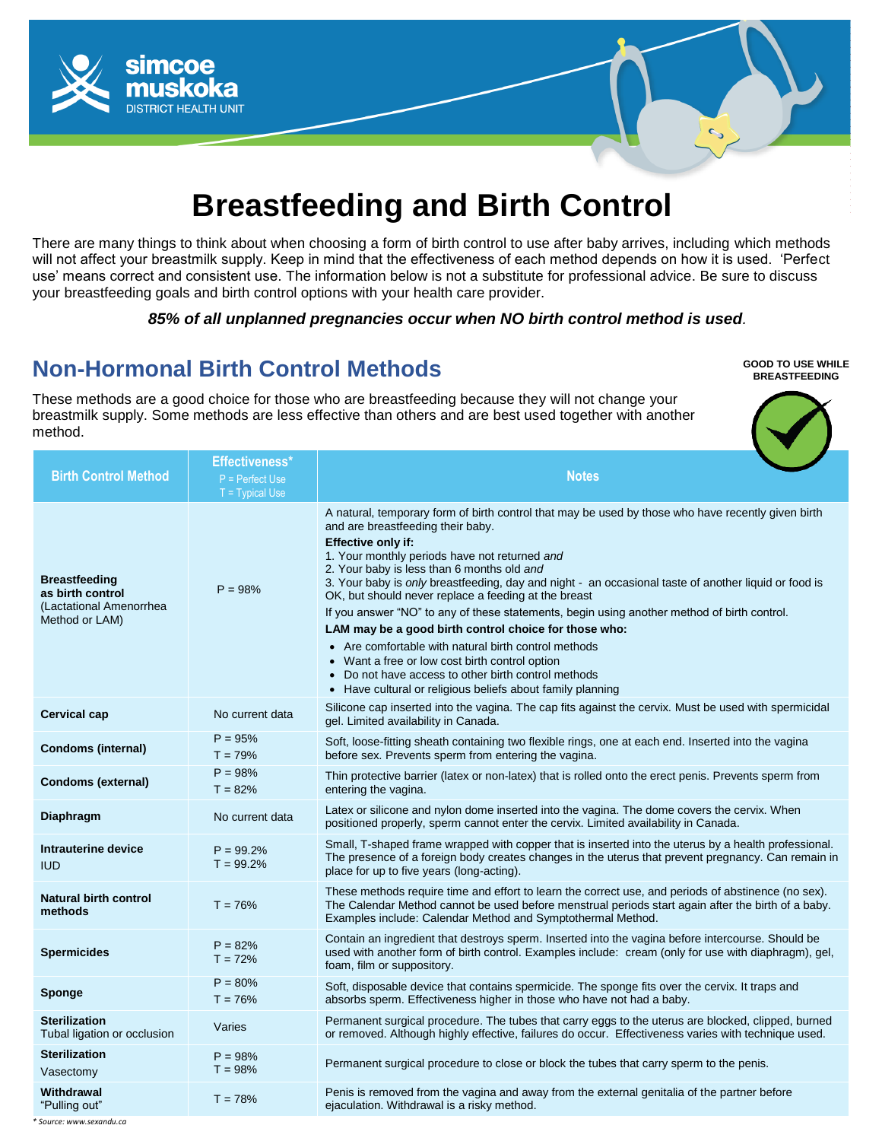

# **Breastfeeding and Birth Control**

There are many things to think about when choosing a form of birth control to use after baby arrives, including which methods will not affect your breastmilk supply. Keep in mind that the effectiveness of each method depends on how it is used. 'Perfect use' means correct and consistent use. The information below is not a substitute for professional advice. Be sure to discuss your breastfeeding goals and birth control options with your health care provider.

#### *85% of all unplanned pregnancies occur when NO birth control method is used.*

**GOOD TO USE WHILE BREASTFEEDING**

#### **Non-Hormonal Birth Control Methods**

These methods are a good choice for those who are breastfeeding because they will not change your breastmilk supply. Some methods are less effective than others and are best used together with another method.

**Birth Control Method Effectiveness\*** P = Perfect Use **Notes Breastfeeding as birth control** (Lactational Amenorrhea Method or LAM)  $P = 98%$ A natural, temporary form of birth control that may be used by those who have recently given birth and are breastfeeding their baby. **Effective only if:**  1. Your monthly periods have not returned *and* 2. Your baby is less than 6 months old *and* 3. Your baby is *only* breastfeeding, day and night - an occasional taste of another liquid or food is OK, but should never replace a feeding at the breast If you answer "NO" to any of these statements, begin using another method of birth control. **LAM may be a good birth control choice for those who:** Are comfortable with natural birth control methods Want a free or low cost birth control option • Do not have access to other birth control methods • Have cultural or religious beliefs about family planning **Cervical cap** No current data Silicone cap inserted into the vagina. The cap fits against the cervix. Must be used with spermicidal gel. Limited availability in Canada. **Condoms (internal)**  $P = 95%$  $T = 79%$ Soft, loose-fitting sheath containing two flexible rings, one at each end. Inserted into the vagina before sex. Prevents sperm from entering the vagina. **Condoms (external)**  $P = 98%$  $T = 82%$ Thin protective barrier (latex or non-latex) that is rolled onto the erect penis. Prevents sperm from entering the vagina. **Diaphragm** No current data Latex or silicone and nylon dome inserted into the vagina. The dome covers the cervix. When positioned properly, sperm cannot enter the cervix. Limited availability in Canada. **Intrauterine device**  IUD  $P = 99.2%$  $T = 99.2%$ Small, T-shaped frame wrapped with copper that is inserted into the uterus by a health professional. The presence of a foreign body creates changes in the uterus that prevent pregnancy. Can remain in place for up to five years (long-acting). **Natural birth control**  mathods **T** = 76% These methods require time and effort to learn the correct use, and periods of abstinence (no sex). The Calendar Method cannot be used before menstrual periods start again after the birth of a baby. Examples include: Calendar Method and Symptothermal Method. **Spermicides**  $P = 82%$  $T = 72%$ Contain an ingredient that destroys sperm. Inserted into the vagina before intercourse. Should be used with another form of birth control. Examples include: cream (only for use with diaphragm), gel, foam, film or suppository. **Sponge**  $P = 80%$  $T = 76%$ Soft, disposable device that contains spermicide. The sponge fits over the cervix. It traps and absorbs sperm. Effectiveness higher in those who have not had a baby. **Sterilization**  Sterilization by the uterus are blocked, clipped, burned<br>Tubal ligation or occlusion varies varies or removed. Although highly effective, failures do occur. Effectiveness varies with technique used. **Sterilization**  Vasectomy  $P = 98%$  $T = 98%$ Permanent surgical procedure to close or block the tubes that carry sperm to the penis. **Withdrawal**   $T = 78\%$ <br>"Pulling out"  $T = 78\%$ Penis is removed from the vagina and away from the external genitalia of the partner before ejaculation. Withdrawal is a risky method.

*\* Source: www.sexandu.ca*